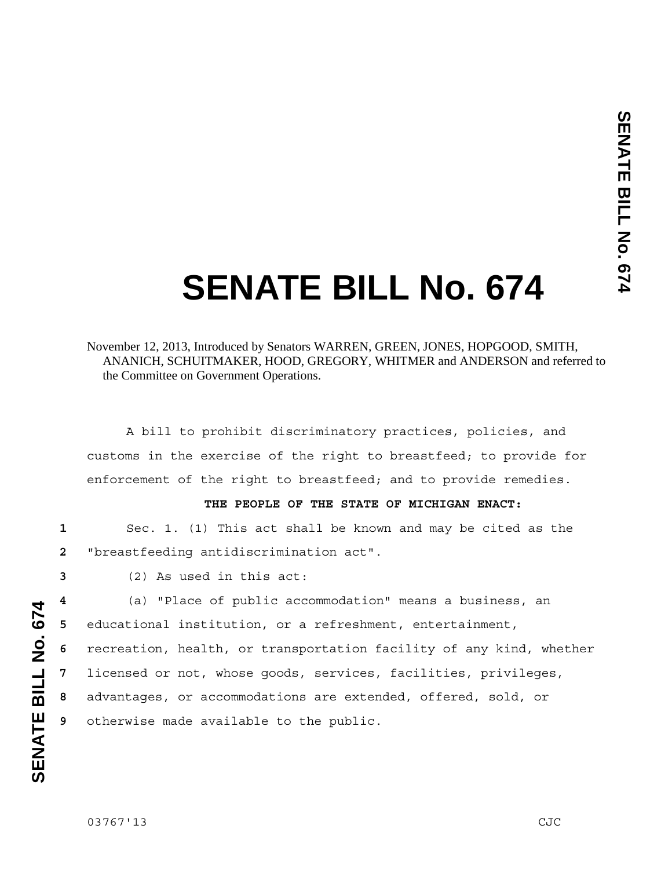## **SENATE BILL No. 674**

## November 12, 2013, Introduced by Senators WARREN, GREEN, JONES, HOPGOOD, SMITH, ANANICH, SCHUITMAKER, HOOD, GREGORY, WHITMER and ANDERSON and referred to the Committee on Government Operations.

 A bill to prohibit discriminatory practices, policies, and customs in the exercise of the right to breastfeed; to provide for enforcement of the right to breastfeed; and to provide remedies.

## **THE PEOPLE OF THE STATE OF MICHIGAN ENACT:**

**1** Sec. 1. (1) This act shall be known and may be cited as the **2** "breastfeeding antidiscrimination act".

**3** (2) As used in this act:

(a) "Place of public accommodation" means a business, an educational institution, or a refreshment, entertainment, recreation, health, or transportation facility of any kind, whether licensed or not, whose goods, services, facilities, privileges, advantages, or accommodations are extended, offered, sold, or otherwise made available to the public.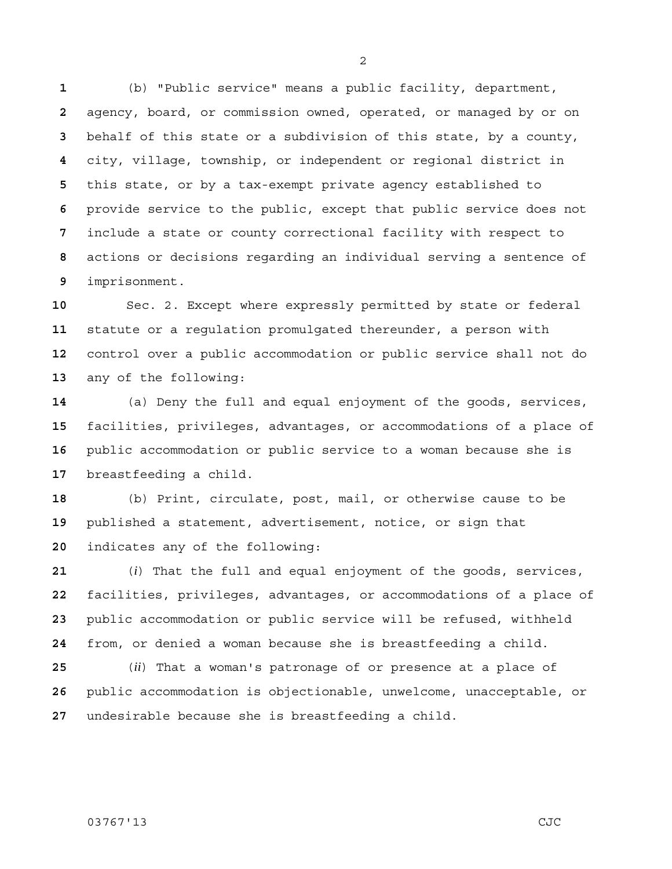(b) "Public service" means a public facility, department, agency, board, or commission owned, operated, or managed by or on behalf of this state or a subdivision of this state, by a county, city, village, township, or independent or regional district in this state, or by a tax-exempt private agency established to provide service to the public, except that public service does not include a state or county correctional facility with respect to actions or decisions regarding an individual serving a sentence of imprisonment.

Sec. 2. Except where expressly permitted by state or federal statute or a regulation promulgated thereunder, a person with control over a public accommodation or public service shall not do any of the following:

(a) Deny the full and equal enjoyment of the goods, services, facilities, privileges, advantages, or accommodations of a place of public accommodation or public service to a woman because she is breastfeeding a child.

(b) Print, circulate, post, mail, or otherwise cause to be published a statement, advertisement, notice, or sign that indicates any of the following:

(*i*) That the full and equal enjoyment of the goods, services, facilities, privileges, advantages, or accommodations of a place of public accommodation or public service will be refused, withheld from, or denied a woman because she is breastfeeding a child.

(*ii*) That a woman's patronage of or presence at a place of public accommodation is objectionable, unwelcome, unacceptable, or undesirable because she is breastfeeding a child.

## 03767'13 CJC